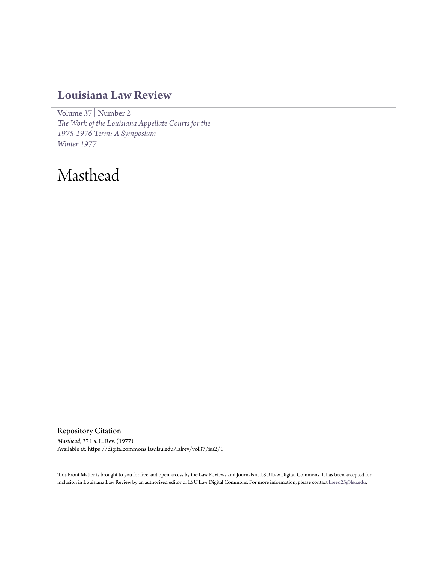## **[Louisiana Law Review](https://digitalcommons.law.lsu.edu/lalrev)**

[Volume 37](https://digitalcommons.law.lsu.edu/lalrev/vol37) | [Number 2](https://digitalcommons.law.lsu.edu/lalrev/vol37/iss2) *[The Work of the Louisiana Appellate Courts for the](https://digitalcommons.law.lsu.edu/lalrev/vol37/iss2) [1975-1976 Term: A Symposium](https://digitalcommons.law.lsu.edu/lalrev/vol37/iss2) [Winter 1977](https://digitalcommons.law.lsu.edu/lalrev/vol37/iss2)*

## Masthead

Repository Citation *Masthead*, 37 La. L. Rev. (1977) Available at: https://digitalcommons.law.lsu.edu/lalrev/vol37/iss2/1

This Front Matter is brought to you for free and open access by the Law Reviews and Journals at LSU Law Digital Commons. It has been accepted for inclusion in Louisiana Law Review by an authorized editor of LSU Law Digital Commons. For more information, please contact [kreed25@lsu.edu](mailto:kreed25@lsu.edu).